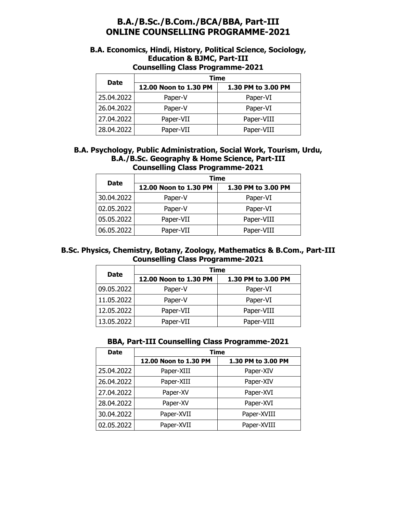# **B.A./B.Sc./B.Com./BCA/BBA, Part-III ONLINE COUNSELLING PROGRAMME-2021**

### **B.A. Economics, Hindi, History, Political Science, Sociology, Education & BJMC, Part-III Counselling Class Programme-2021**

| <b>Date</b> | Time                  |                    |
|-------------|-----------------------|--------------------|
|             | 12.00 Noon to 1.30 PM | 1.30 PM to 3.00 PM |
| 25.04.2022  | Paper-V               | Paper-VI           |
| 26.04.2022  | Paper-V               | Paper-VI           |
| 27.04.2022  | Paper-VII             | Paper-VIII         |
| 28.04.2022  | Paper-VII             | Paper-VIII         |

#### **B.A. Psychology, Public Administration, Social Work, Tourism, Urdu, B.A./B.Sc. Geography & Home Science, Part-III Counselling Class Programme-2021**

| <b>Date</b> | Time                  |                    |
|-------------|-----------------------|--------------------|
|             | 12.00 Noon to 1.30 PM | 1.30 PM to 3.00 PM |
| 30.04.2022  | Paper-V               | Paper-VI           |
| 02.05.2022  | Paper-V               | Paper-VI           |
| 05.05.2022  | Paper-VII             | Paper-VIII         |
| 06.05.2022  | Paper-VII             | Paper-VIII         |

## **B.Sc. Physics, Chemistry, Botany, Zoology, Mathematics & B.Com., Part-III Counselling Class Programme-2021**

| <b>Date</b> | Time                  |                    |
|-------------|-----------------------|--------------------|
|             | 12.00 Noon to 1.30 PM | 1.30 PM to 3.00 PM |
| 09.05.2022  | Paper-V               | Paper-VI           |
| 11.05.2022  | Paper-V               | Paper-VI           |
| 12.05.2022  | Paper-VII             | Paper-VIII         |
| 13.05.2022  | Paper-VII             | Paper-VIII         |

#### **BBA, Part-III Counselling Class Programme-2021**

| <b>Date</b> | Time                  |                    |
|-------------|-----------------------|--------------------|
|             | 12.00 Noon to 1.30 PM | 1.30 PM to 3.00 PM |
| 25.04.2022  | Paper-XIII            | Paper-XIV          |
| 26.04.2022  | Paper-XIII            | Paper-XIV          |
| 27.04.2022  | Paper-XV              | Paper-XVI          |
| 28.04.2022  | Paper-XV              | Paper-XVI          |
| 30.04.2022  | Paper-XVII            | Paper-XVIII        |
| 02.05.2022  | Paper-XVII            | Paper-XVIII        |